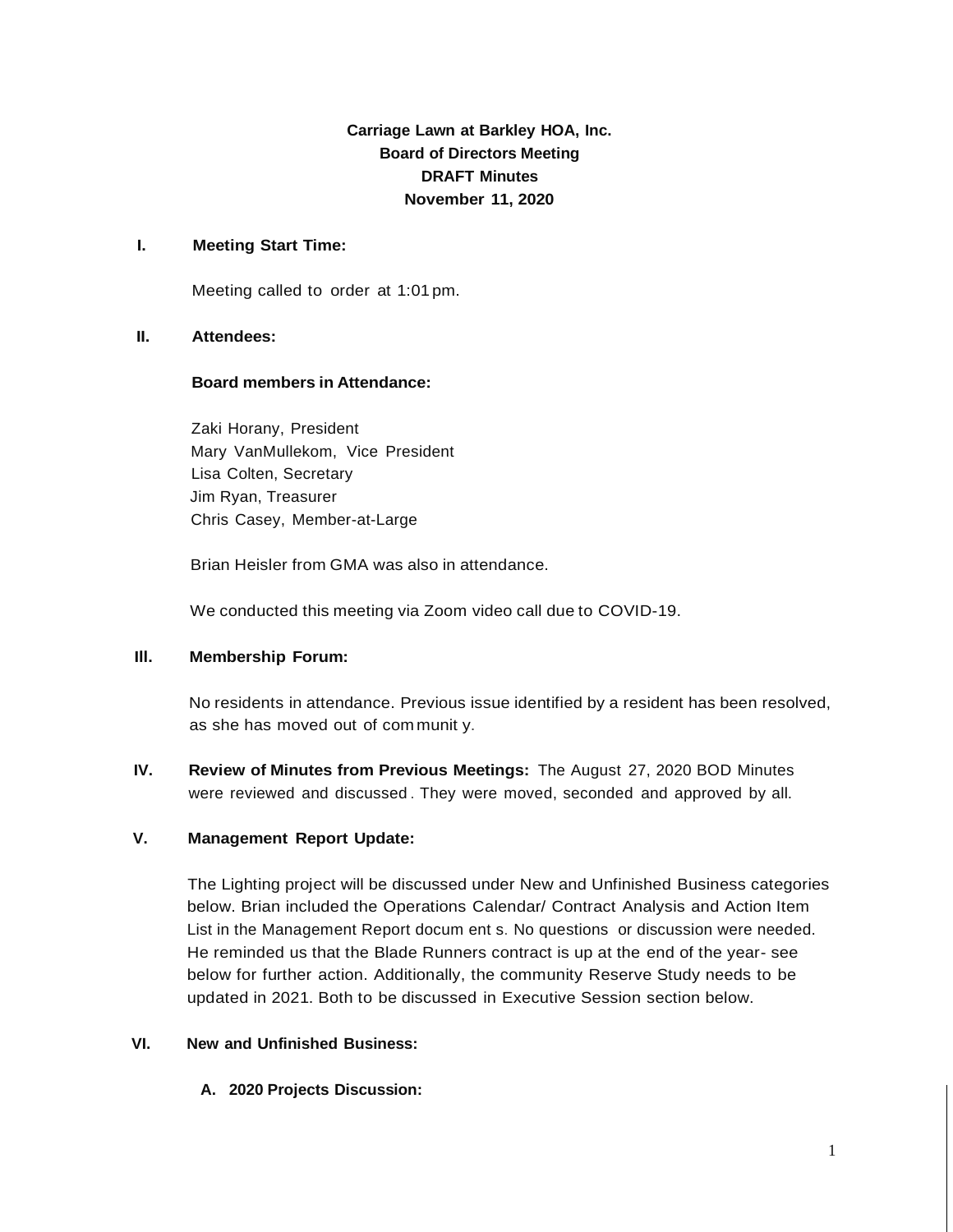**Carriage Lawn at Barkley HOA, Inc. Board of Directors Meeting DRAFT Minutes November 11, 2020**

## **I. Meeting Start Time:**

Meeting called to order at 1:01 pm.

## **II. Attendees:**

## **Board members in Attendance:**

Zaki Horany, President Mary VanMullekom, Vice President Lisa Colten, Secretary Jim Ryan, Treasurer Chris Casey, Member-at-Large

Brian Heisler from GMA was also in attendance.

We conducted this meeting via Zoom video call due to COVID-19.

## **Ill. Membership Forum:**

No residents in attendance. Previous issue identified by a resident has been resolved, as she has moved out of com munit y.

**IV. Review of Minutes from Previous Meetings:** The August 27, 2020 BOD Minutes were reviewed and discussed . They were moved, seconded and approved by all.

# **V. Management Report Update:**

The Lighting project will be discussed under New and Unfinished Business categories below. Brian included the Operations Calendar/ Contract Analysis and Action Item List in the Management Report docum ent s. No questions or discussion were needed. He reminded us that the Blade Runners contract is up at the end of the year- see below for further action. Additionally, the community Reserve Study needs to be updated in 2021. Both to be discussed in Executive Session section below.

# **VI. New and Unfinished Business:**

**A. 2020 Projects Discussion:**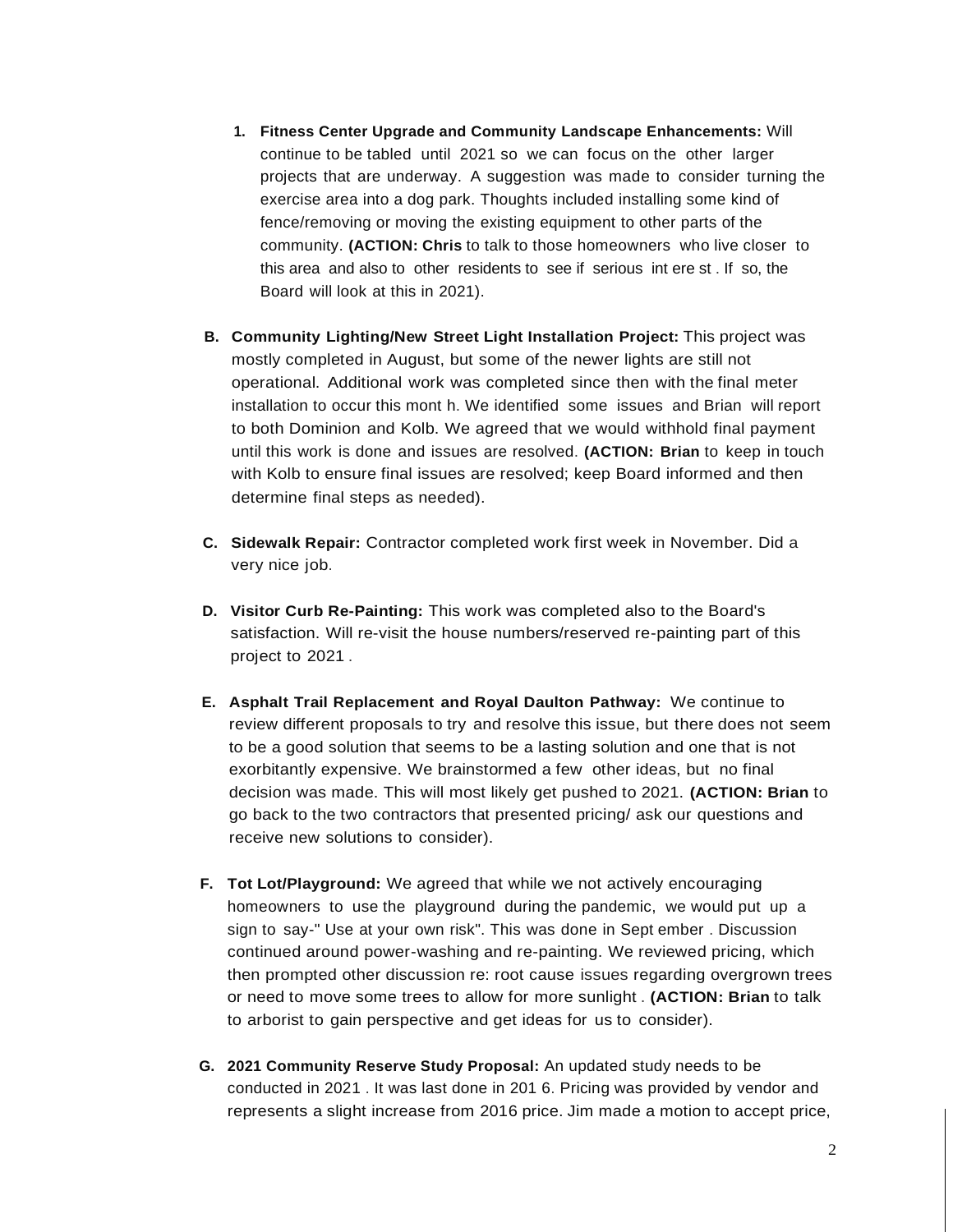- **1. Fitness Center Upgrade and Community Landscape Enhancements:** Will continue to be tabled until 2021 so we can focus on the other larger projects that are underway. A suggestion was made to consider turning the exercise area into a dog park. Thoughts included installing some kind of fence/removing or moving the existing equipment to other parts of the community. **(ACTION: Chris** to talk to those homeowners who live closer to this area and also to other residents to see if serious int ere st . If so, the Board will look at this in 2021).
- **B. Community Lighting/New Street Light Installation Project:** This project was mostly completed in August, but some of the newer lights are still not operational. Additional work was completed since then with the final meter installation to occur this mont h. We identified some issues and Brian will report to both Dominion and Kolb. We agreed that we would withhold final payment until this work is done and issues are resolved. **(ACTION: Brian** to keep in touch with Kolb to ensure final issues are resolved; keep Board informed and then determine final steps as needed).
- **C. Sidewalk Repair:** Contractor completed work first week in November. Did a very nice job.
- **D. Visitor Curb Re-Painting:** This work was completed also to the Board's satisfaction. Will re-visit the house numbers/reserved re-painting part of this project to 2021 .
- **E. Asphalt Trail Replacement and Royal Daulton Pathway:** We continue to review different proposals to try and resolve this issue, but there does not seem to be a good solution that seems to be a lasting solution and one that is not exorbitantly expensive. We brainstormed a few other ideas, but no final decision was made. This will most likely get pushed to 2021. **(ACTION: Brian** to go back to the two contractors that presented pricing/ ask our questions and receive new solutions to consider).
- **F. Tot Lot/Playground:** We agreed that while we not actively encouraging homeowners to use the playground during the pandemic, we would put up a sign to say-" Use at your own risk". This was done in Sept ember . Discussion continued around power-washing and re-painting. We reviewed pricing, which then prompted other discussion re: root cause issues regarding overgrown trees or need to move some trees to allow for more sunlight . **(ACTION: Brian** to talk to arborist to gain perspective and get ideas for us to consider).
- **G. 2021 Community Reserve Study Proposal:** An updated study needs to be conducted in 2021 . It was last done in 201 6. Pricing was provided by vendor and represents a slight increase from 2016 price. Jim made a motion to accept price,